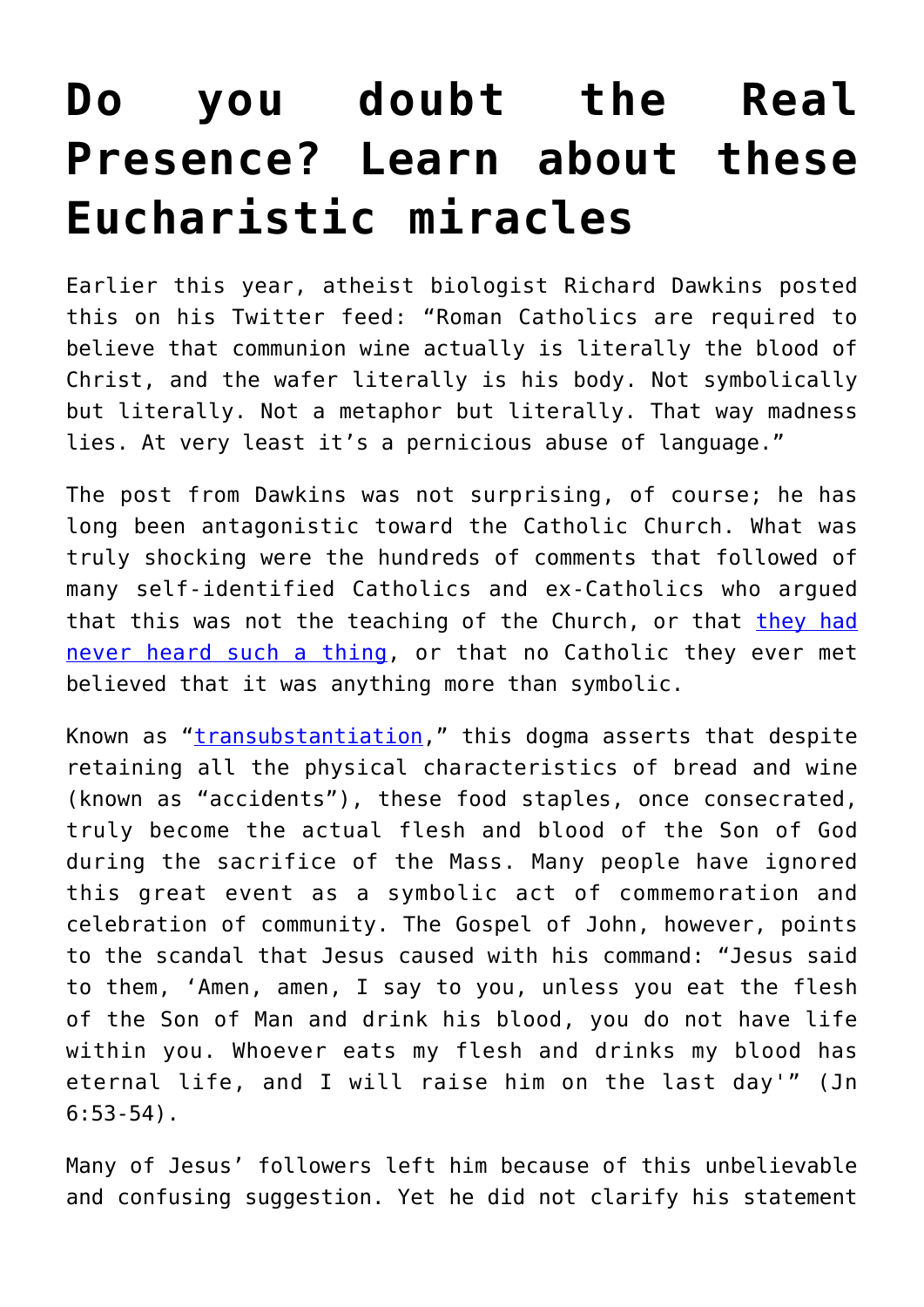# **[Do you doubt the Real](https://www.osvnews.com/2021/09/10/do-you-doubt-the-real-presence-learn-about-these-eucharistic-miracles/) [Presence? Learn about these](https://www.osvnews.com/2021/09/10/do-you-doubt-the-real-presence-learn-about-these-eucharistic-miracles/) [Eucharistic miracles](https://www.osvnews.com/2021/09/10/do-you-doubt-the-real-presence-learn-about-these-eucharistic-miracles/)**

Earlier this year, atheist biologist Richard Dawkins posted this on his Twitter feed: "Roman Catholics are required to believe that communion wine actually is literally the blood of Christ, and the wafer literally is his body. Not symbolically but literally. Not a metaphor but literally. That way madness lies. At very least it's a pernicious abuse of language."

The post from Dawkins was not surprising, of course; he has long been antagonistic toward the Catholic Church. What was truly shocking were the hundreds of comments that followed of many self-identified Catholics and ex-Catholics who argued that this was not the teaching of the Church, or that [they had](https://osvnews.com/2019/08/09/pew-survey-shows-majority-of-catholics-dont-believe-in-real-presence/) [never heard such a thing,](https://osvnews.com/2019/08/09/pew-survey-shows-majority-of-catholics-dont-believe-in-real-presence/) or that no Catholic they ever met believed that it was anything more than symbolic.

Known as "*transubstantiation*," this dogma asserts that despite retaining all the physical characteristics of bread and wine (known as "accidents"), these food staples, once consecrated, truly become the actual flesh and blood of the Son of God during the sacrifice of the Mass. Many people have ignored this great event as a symbolic act of commemoration and celebration of community. The Gospel of John, however, points to the scandal that Jesus caused with his command: "Jesus said to them, 'Amen, amen, I say to you, unless you eat the flesh of the Son of Man and drink his blood, you do not have life within you. Whoever eats my flesh and drinks my blood has eternal life, and I will raise him on the last day'" (Jn  $6:53-54$ ).

Many of Jesus' followers left him because of this unbelievable and confusing suggestion. Yet he did not clarify his statement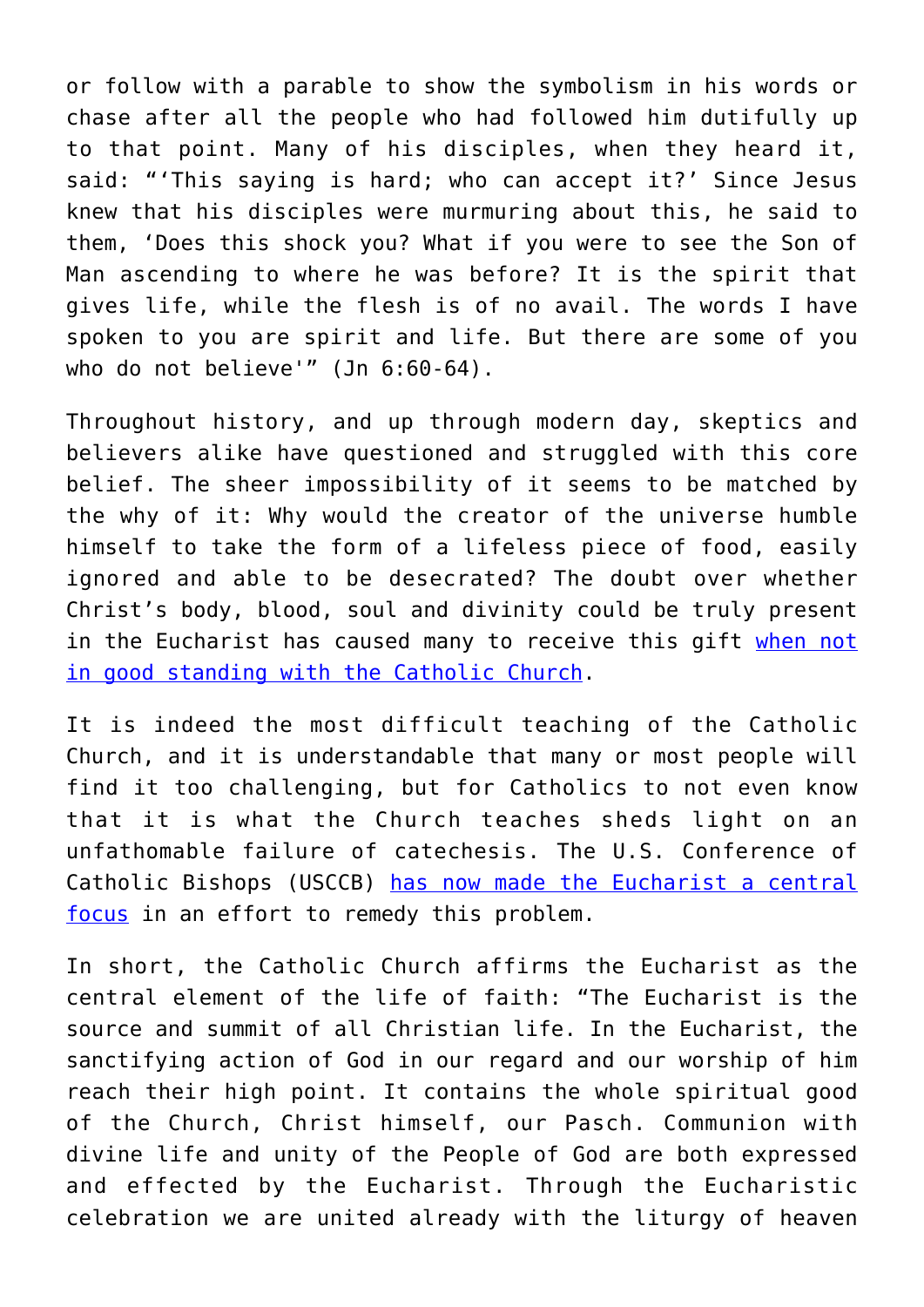or follow with a parable to show the symbolism in his words or chase after all the people who had followed him dutifully up to that point. Many of his disciples, when they heard it, said: "'This saying is hard; who can accept it?' Since Jesus knew that his disciples were murmuring about this, he said to them, 'Does this shock you? What if you were to see the Son of Man ascending to where he was before? It is the spirit that gives life, while the flesh is of no avail. The words I have spoken to you are spirit and life. But there are some of you who do not believe'" (Jn 6:60-64).

Throughout history, and up through modern day, skeptics and believers alike have questioned and struggled with this core belief. The sheer impossibility of it seems to be matched by the why of it: Why would the creator of the universe humble himself to take the form of a lifeless piece of food, easily ignored and able to be desecrated? The doubt over whether Christ's body, blood, soul and divinity could be truly present in the Eucharist has caused many to receive this gift [when not](https://osvnews.com/2021/06/22/who-shouldnt-receive-holy-communion/) [in good standing with the Catholic Church.](https://osvnews.com/2021/06/22/who-shouldnt-receive-holy-communion/)

It is indeed the most difficult teaching of the Catholic Church, and it is understandable that many or most people will find it too challenging, but for Catholics to not even know that it is what the Church teaches sheds light on an unfathomable failure of catechesis. The U.S. Conference of Catholic Bishops (USCCB) [has now made the Eucharist a central](https://osvnews.com/2021/07/15/the-upcoming-national-eucharistic-revival-is-ambitious-and-sorely-needed/) [focus](https://osvnews.com/2021/07/15/the-upcoming-national-eucharistic-revival-is-ambitious-and-sorely-needed/) in an effort to remedy this problem.

In short, the Catholic Church affirms the Eucharist as the central element of the life of faith: "The Eucharist is the source and summit of all Christian life. In the Eucharist, the sanctifying action of God in our regard and our worship of him reach their high point. It contains the whole spiritual good of the Church, Christ himself, our Pasch. Communion with divine life and unity of the People of God are both expressed and effected by the Eucharist. Through the Eucharistic celebration we are united already with the liturgy of heaven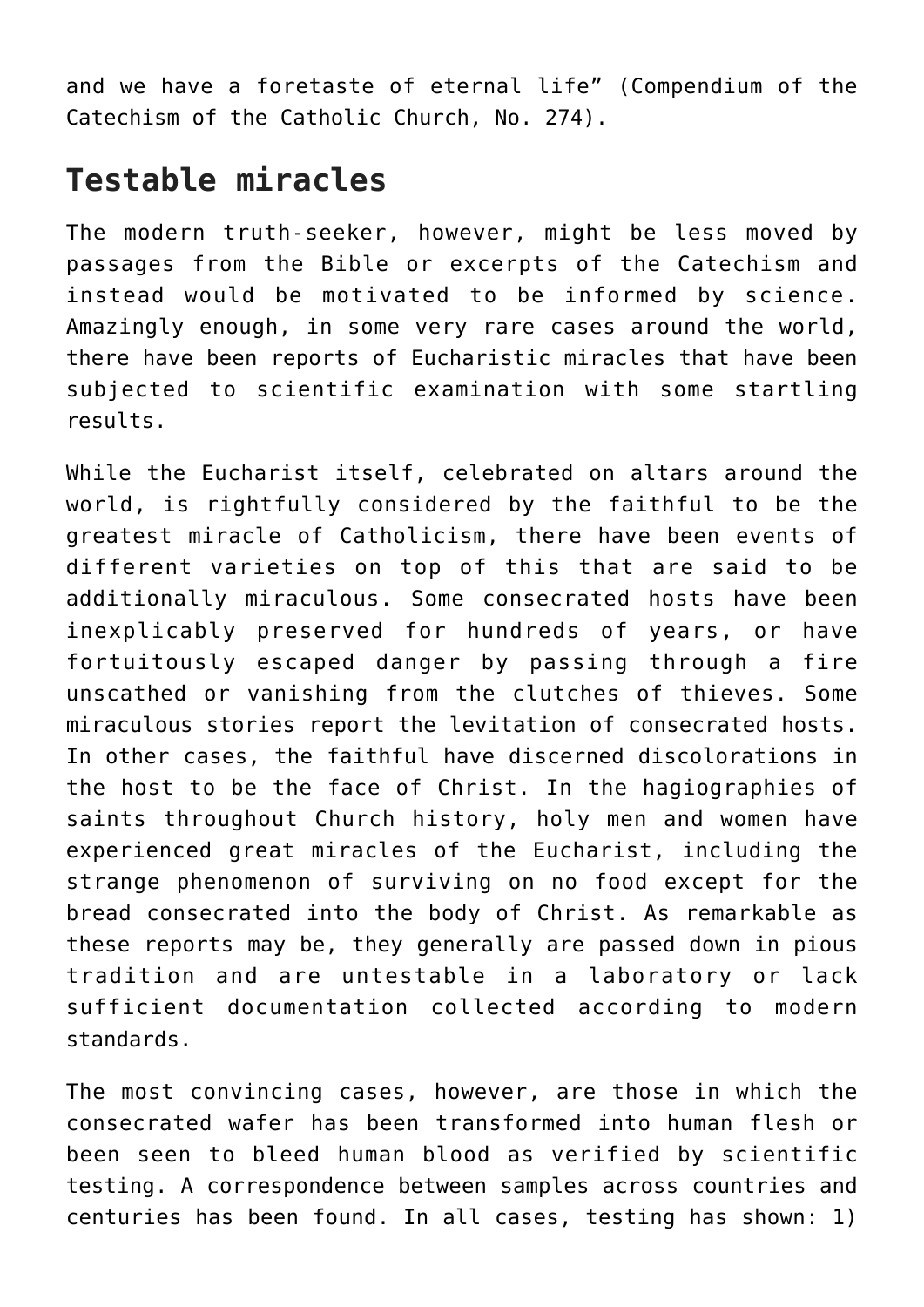and we have a foretaste of eternal life" (Compendium of the Catechism of the Catholic Church, No. 274).

### **Testable miracles**

The modern truth-seeker, however, might be less moved by passages from the Bible or excerpts of the Catechism and instead would be motivated to be informed by science. Amazingly enough, in some very rare cases around the world, there have been reports of Eucharistic miracles that have been subjected to scientific examination with some startling results.

While the Eucharist itself, celebrated on altars around the world, is rightfully considered by the faithful to be the greatest miracle of Catholicism, there have been events of different varieties on top of this that are said to be additionally miraculous. Some consecrated hosts have been inexplicably preserved for hundreds of years, or have fortuitously escaped danger by passing through a fire unscathed or vanishing from the clutches of thieves. Some miraculous stories report the levitation of consecrated hosts. In other cases, the faithful have discerned discolorations in the host to be the face of Christ. In the hagiographies of saints throughout Church history, holy men and women have experienced great miracles of the Eucharist, including the strange phenomenon of surviving on no food except for the bread consecrated into the body of Christ. As remarkable as these reports may be, they generally are passed down in pious tradition and are untestable in a laboratory or lack sufficient documentation collected according to modern standards.

The most convincing cases, however, are those in which the consecrated wafer has been transformed into human flesh or been seen to bleed human blood as verified by scientific testing. A correspondence between samples across countries and centuries has been found. In all cases, testing has shown: 1)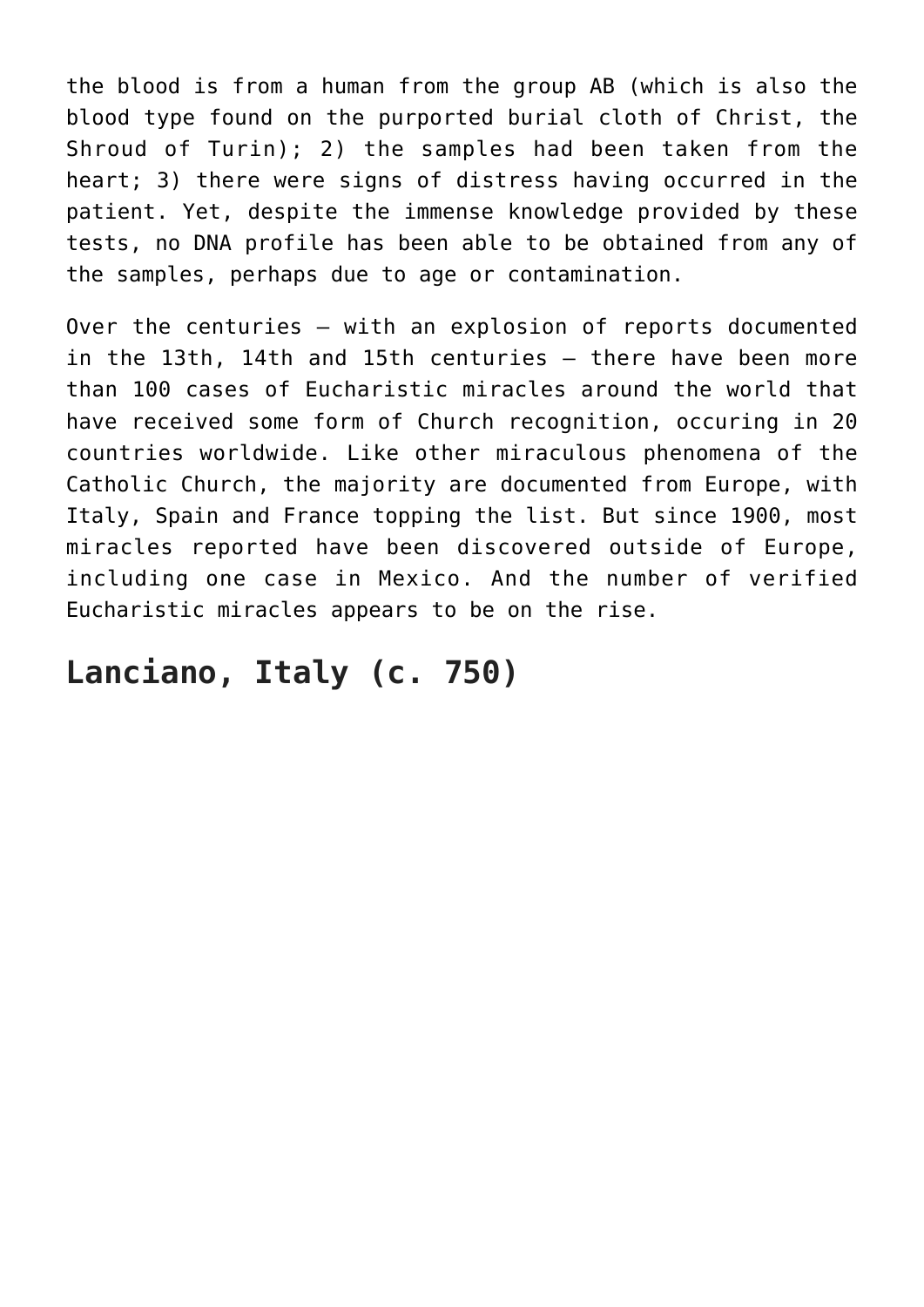the blood is from a human from the group AB (which is also the blood type found on the purported burial cloth of Christ, the Shroud of Turin); 2) the samples had been taken from the heart; 3) there were signs of distress having occurred in the patient. Yet, despite the immense knowledge provided by these tests, no DNA profile has been able to be obtained from any of the samples, perhaps due to age or contamination.

Over the centuries — with an explosion of reports documented in the 13th, 14th and 15th centuries — there have been more than 100 cases of Eucharistic miracles around the world that have received some form of Church recognition, occuring in 20 countries worldwide. Like other miraculous phenomena of the Catholic Church, the majority are documented from Europe, with Italy, Spain and France topping the list. But since 1900, most miracles reported have been discovered outside of Europe, including one case in Mexico. And the number of verified Eucharistic miracles appears to be on the rise.

#### **Lanciano, Italy (c. 750)**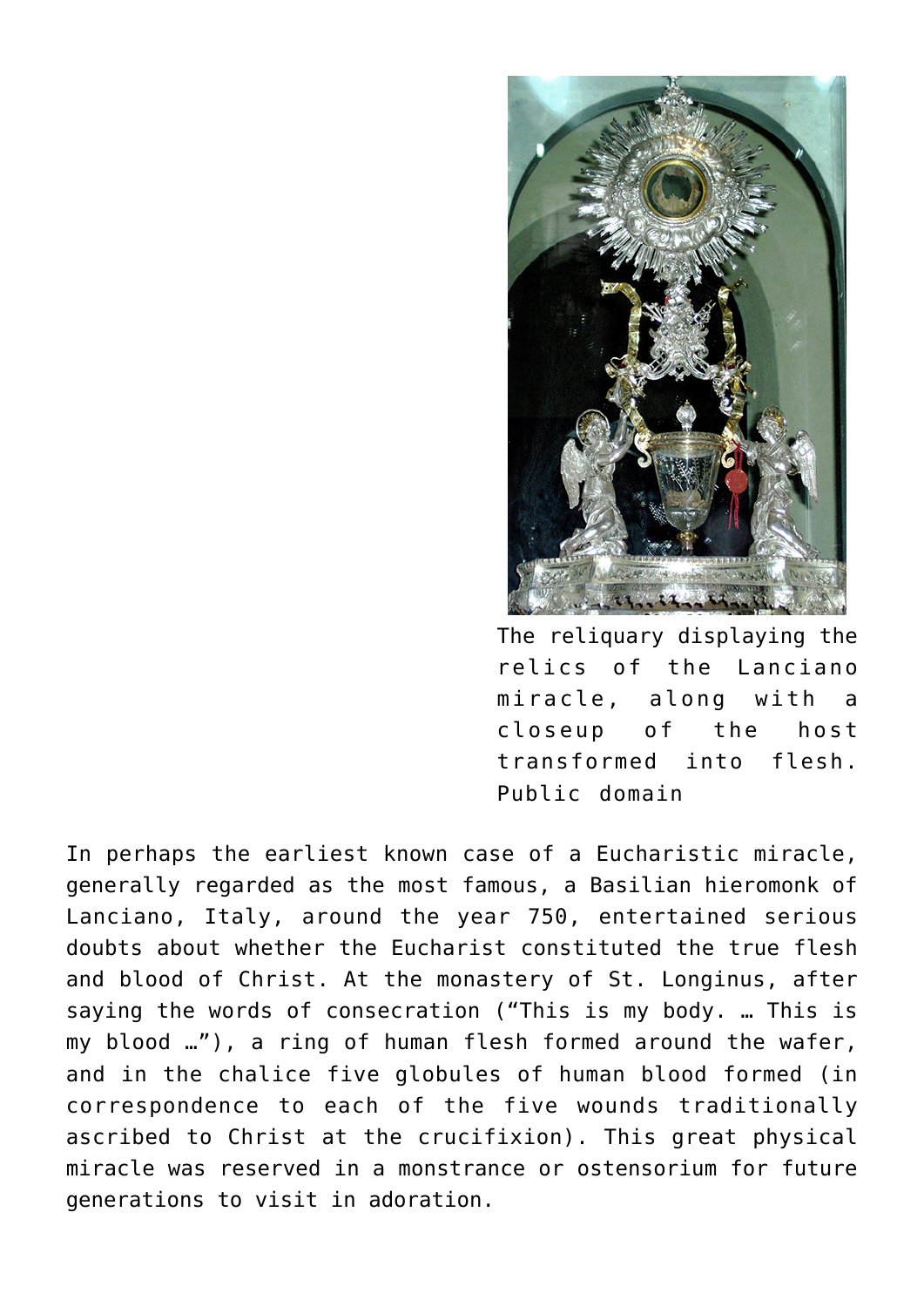

The reliquary displaying the relics of the Lanciano miracle, along with a closeup of the host transformed into flesh. Public domain

In perhaps the earliest known case of a Eucharistic miracle, generally regarded as the most famous, a Basilian hieromonk of Lanciano, Italy, around the year 750, entertained serious doubts about whether the Eucharist constituted the true flesh and blood of Christ. At the monastery of St. Longinus, after saying the words of consecration ("This is my body. … This is my blood …"), a ring of human flesh formed around the wafer, and in the chalice five globules of human blood formed (in correspondence to each of the five wounds traditionally ascribed to Christ at the crucifixion). This great physical miracle was reserved in a monstrance or ostensorium for future generations to visit in adoration.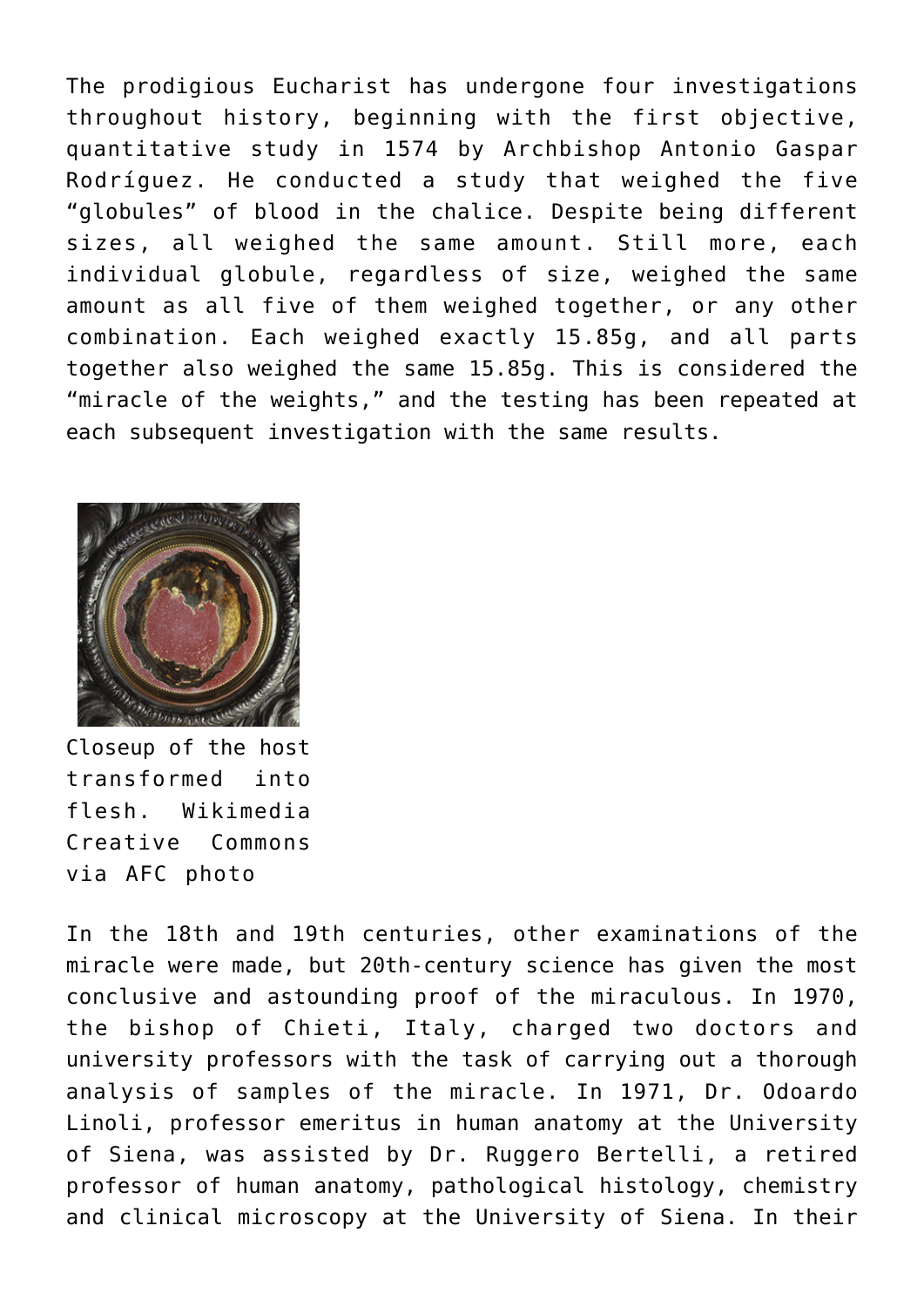The prodigious Eucharist has undergone four investigations throughout history, beginning with the first objective, quantitative study in 1574 by Archbishop Antonio Gaspar Rodríguez. He conducted a study that weighed the five "globules" of blood in the chalice. Despite being different sizes, all weighed the same amount. Still more, each individual globule, regardless of size, weighed the same amount as all five of them weighed together, or any other combination. Each weighed exactly 15.85g, and all parts together also weighed the same 15.85g. This is considered the "miracle of the weights," and the testing has been repeated at each subsequent investigation with the same results.



Closeup of the host transformed into flesh. Wikimedia Creative Commons via AFC photo

In the 18th and 19th centuries, other examinations of the miracle were made, but 20th-century science has given the most conclusive and astounding proof of the miraculous. In 1970, the bishop of Chieti, Italy, charged two doctors and university professors with the task of carrying out a thorough analysis of samples of the miracle. In 1971, Dr. Odoardo Linoli, professor emeritus in human anatomy at the University of Siena, was assisted by Dr. Ruggero Bertelli, a retired professor of human anatomy, pathological histology, chemistry and clinical microscopy at the University of Siena. In their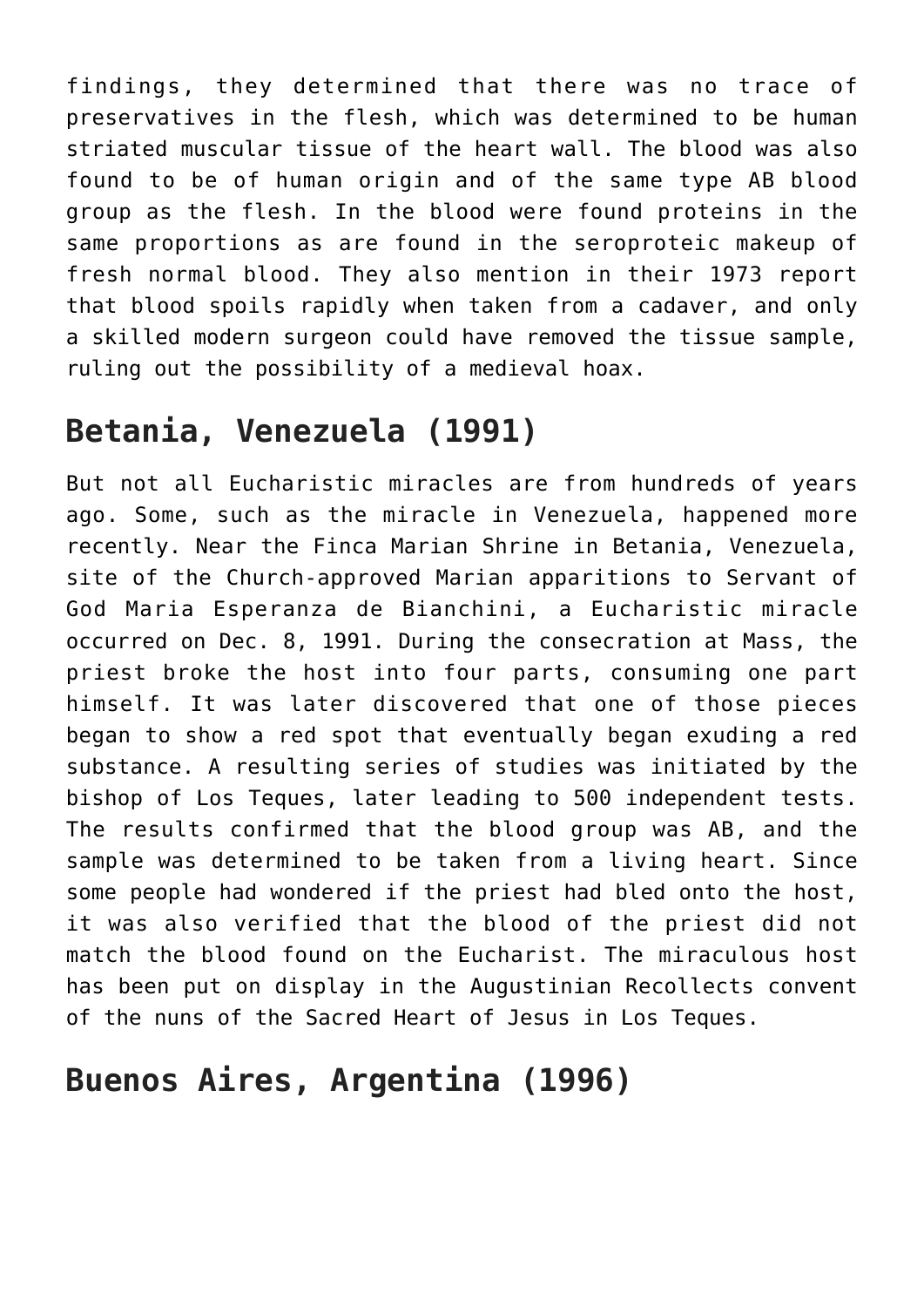findings, they determined that there was no trace of preservatives in the flesh, which was determined to be human striated muscular tissue of the heart wall. The blood was also found to be of human origin and of the same type AB blood group as the flesh. In the blood were found proteins in the same proportions as are found in the seroproteic makeup of fresh normal blood. They also mention in their 1973 report that blood spoils rapidly when taken from a cadaver, and only a skilled modern surgeon could have removed the tissue sample, ruling out the possibility of a medieval hoax.

## **Betania, Venezuela (1991)**

But not all Eucharistic miracles are from hundreds of years ago. Some, such as the miracle in Venezuela, happened more recently. Near the Finca Marian Shrine in Betania, Venezuela, site of the Church-approved Marian apparitions to Servant of God Maria Esperanza de Bianchini, a Eucharistic miracle occurred on Dec. 8, 1991. During the consecration at Mass, the priest broke the host into four parts, consuming one part himself. It was later discovered that one of those pieces began to show a red spot that eventually began exuding a red substance. A resulting series of studies was initiated by the bishop of Los Teques, later leading to 500 independent tests. The results confirmed that the blood group was AB, and the sample was determined to be taken from a living heart. Since some people had wondered if the priest had bled onto the host, it was also verified that the blood of the priest did not match the blood found on the Eucharist. The miraculous host has been put on display in the Augustinian Recollects convent of the nuns of the Sacred Heart of Jesus in Los Teques.

## **Buenos Aires, Argentina (1996)**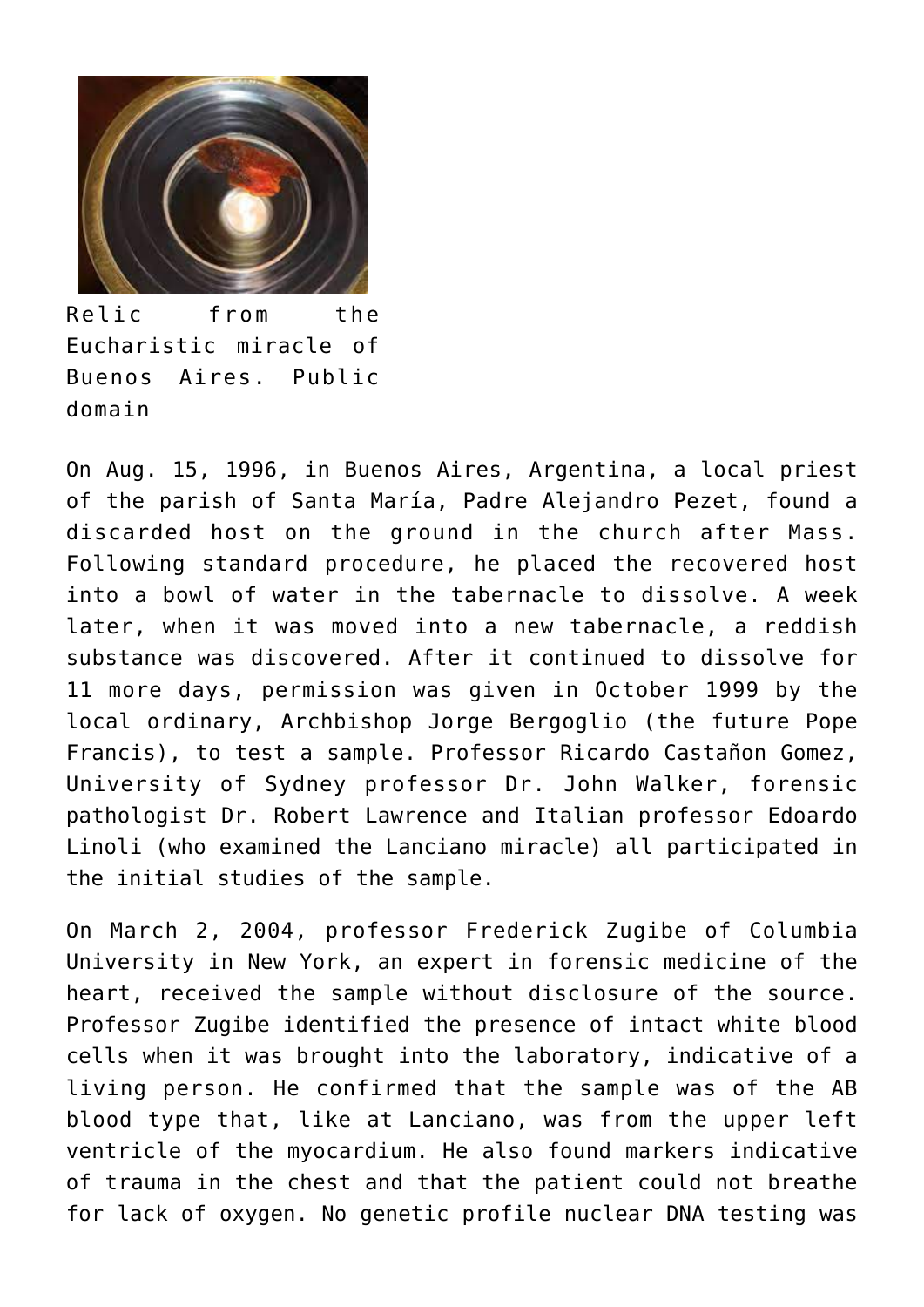

Relic from the Eucharistic miracle of Buenos Aires. Public domain

On Aug. 15, 1996, in Buenos Aires, Argentina, a local priest of the parish of Santa María, Padre Alejandro Pezet, found a discarded host on the ground in the church after Mass. Following standard procedure, he placed the recovered host into a bowl of water in the tabernacle to dissolve. A week later, when it was moved into a new tabernacle, a reddish substance was discovered. After it continued to dissolve for 11 more days, permission was given in October 1999 by the local ordinary, Archbishop Jorge Bergoglio (the future Pope Francis), to test a sample. Professor Ricardo Castañon Gomez, University of Sydney professor Dr. John Walker, forensic pathologist Dr. Robert Lawrence and Italian professor Edoardo Linoli (who examined the Lanciano miracle) all participated in the initial studies of the sample.

On March 2, 2004, professor Frederick Zugibe of Columbia University in New York, an expert in forensic medicine of the heart, received the sample without disclosure of the source. Professor Zugibe identified the presence of intact white blood cells when it was brought into the laboratory, indicative of a living person. He confirmed that the sample was of the AB blood type that, like at Lanciano, was from the upper left ventricle of the myocardium. He also found markers indicative of trauma in the chest and that the patient could not breathe for lack of oxygen. No genetic profile nuclear DNA testing was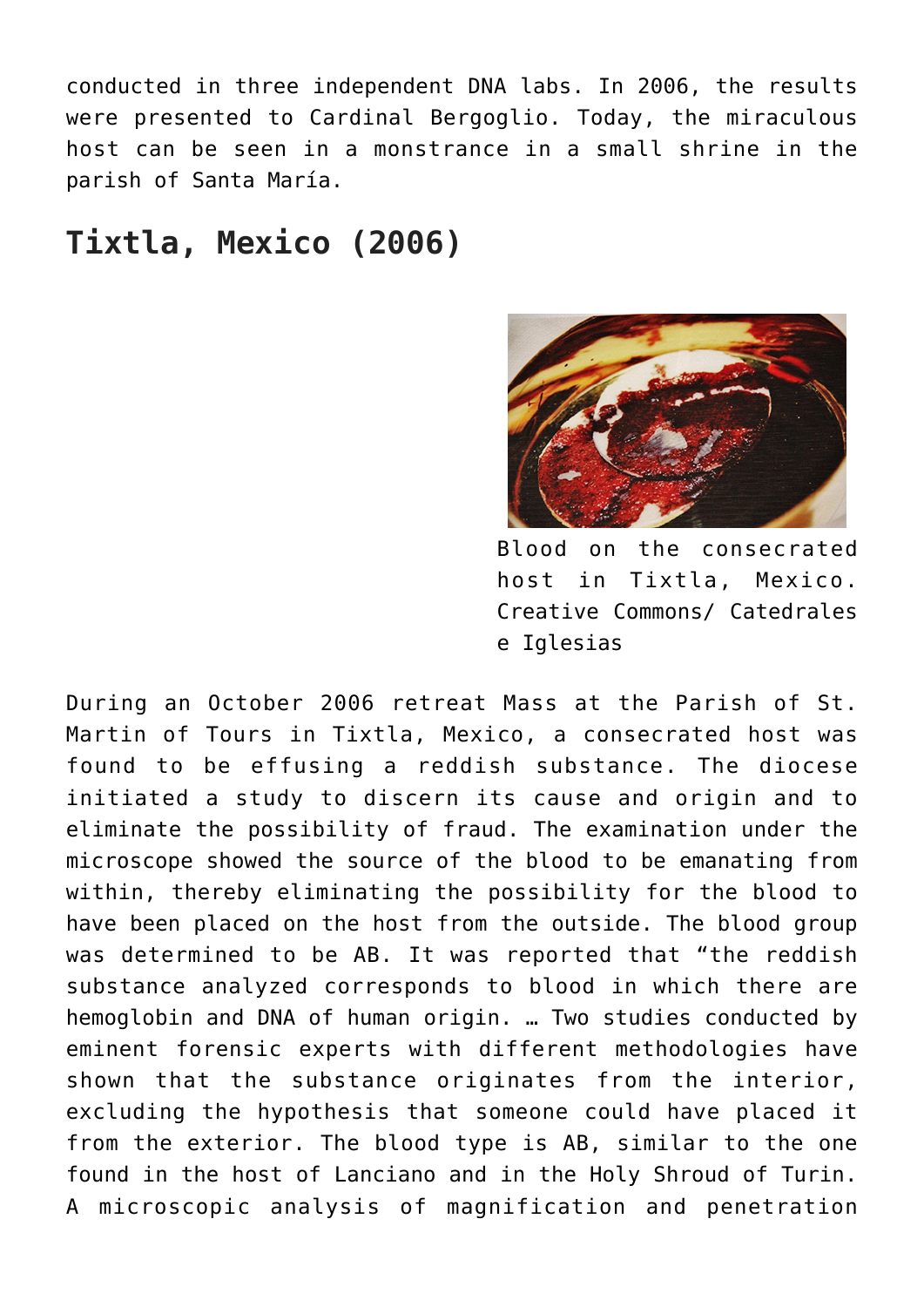conducted in three independent DNA labs. In 2006, the results were presented to Cardinal Bergoglio. Today, the miraculous host can be seen in a monstrance in a small shrine in the parish of Santa María.

#### **Tixtla, Mexico (2006)**



Blood on the consecrated host in Tixtla, Mexico. Creative Commons/ Catedrales e Iglesias

During an October 2006 retreat Mass at the Parish of St. Martin of Tours in Tixtla, Mexico, a consecrated host was found to be effusing a reddish substance. The diocese initiated a study to discern its cause and origin and to eliminate the possibility of fraud. The examination under the microscope showed the source of the blood to be emanating from within, thereby eliminating the possibility for the blood to have been placed on the host from the outside. The blood group was determined to be AB. It was reported that "the reddish substance analyzed corresponds to blood in which there are hemoglobin and DNA of human origin. … Two studies conducted by eminent forensic experts with different methodologies have shown that the substance originates from the interior, excluding the hypothesis that someone could have placed it from the exterior. The blood type is AB, similar to the one found in the host of Lanciano and in the Holy Shroud of Turin. A microscopic analysis of magnification and penetration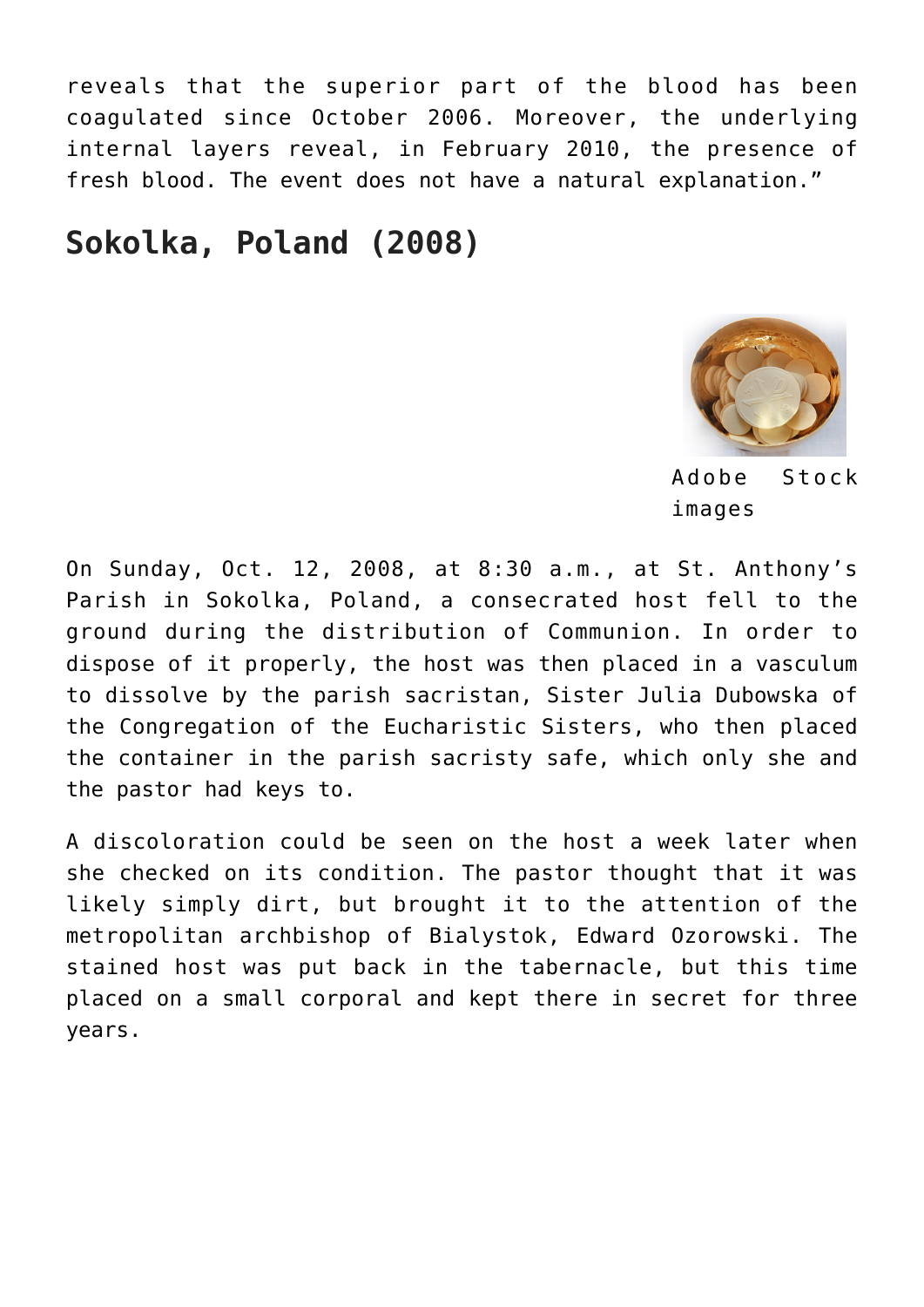reveals that the superior part of the blood has been coagulated since October 2006. Moreover, the underlying internal layers reveal, in February 2010, the presence of fresh blood. The event does not have a natural explanation."

#### **Sokolka, Poland (2008)**



Adobe Stock images

On Sunday, Oct. 12, 2008, at 8:30 a.m., at St. Anthony's Parish in Sokolka, Poland, a consecrated host fell to the ground during the distribution of Communion. In order to dispose of it properly, the host was then placed in a vasculum to dissolve by the parish sacristan, Sister Julia Dubowska of the Congregation of the Eucharistic Sisters, who then placed the container in the parish sacristy safe, which only she and the pastor had keys to.

A discoloration could be seen on the host a week later when she checked on its condition. The pastor thought that it was likely simply dirt, but brought it to the attention of the metropolitan archbishop of Bialystok, Edward Ozorowski. The stained host was put back in the tabernacle, but this time placed on a small corporal and kept there in secret for three years.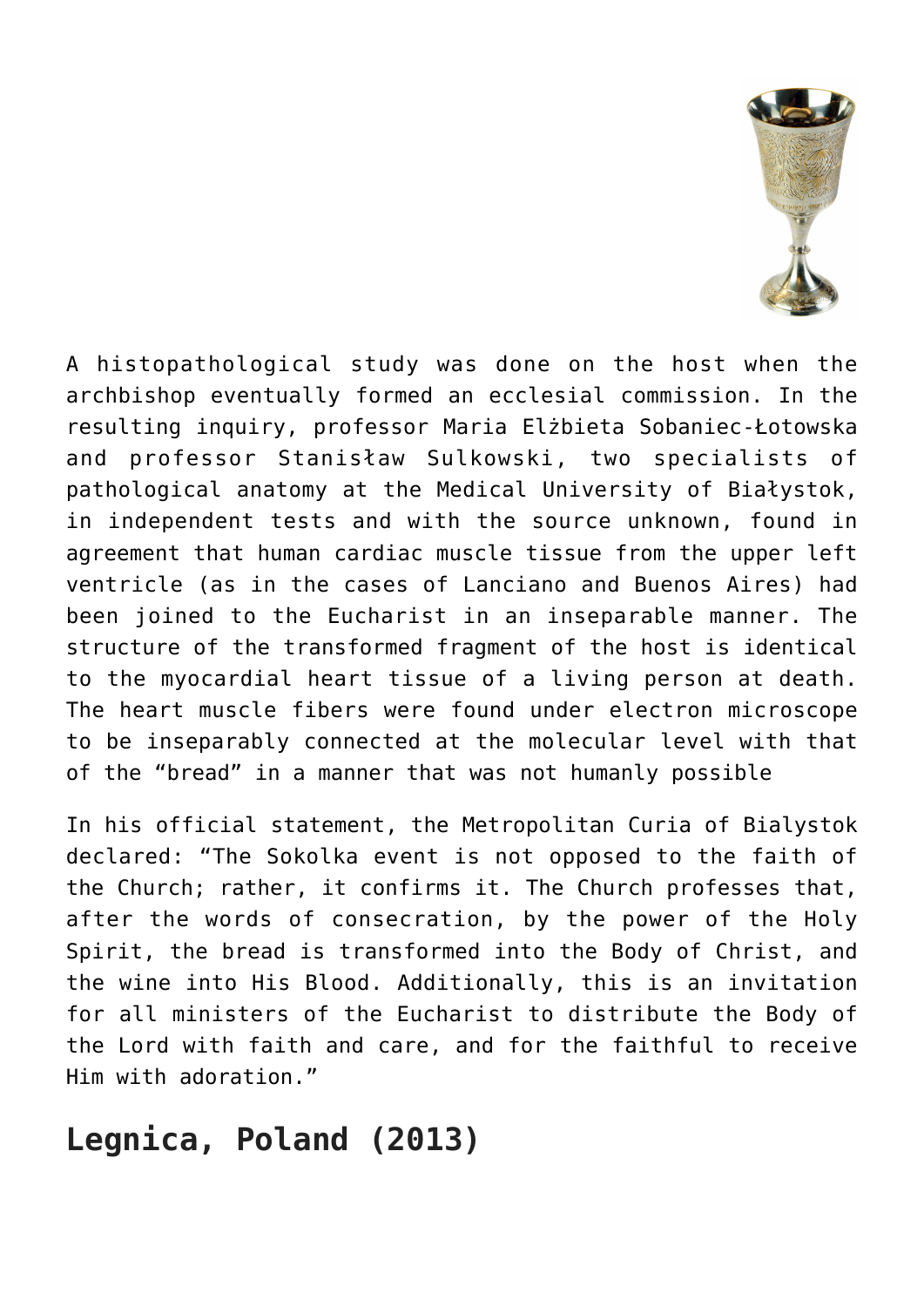

A histopathological study was done on the host when the archbishop eventually formed an ecclesial commission. In the resulting inquiry, professor Maria Elżbieta Sobaniec-Łotowska and professor Stanisław Sulkowski, two specialists of pathological anatomy at the Medical University of Białystok, in independent tests and with the source unknown, found in agreement that human cardiac muscle tissue from the upper left ventricle (as in the cases of Lanciano and Buenos Aires) had been joined to the Eucharist in an inseparable manner. The structure of the transformed fragment of the host is identical to the myocardial heart tissue of a living person at death. The heart muscle fibers were found under electron microscope to be inseparably connected at the molecular level with that of the "bread" in a manner that was not humanly possible

In his official statement, the Metropolitan Curia of Bialystok declared: "The Sokolka event is not opposed to the faith of the Church; rather, it confirms it. The Church professes that, after the words of consecration, by the power of the Holy Spirit, the bread is transformed into the Body of Christ, and the wine into His Blood. Additionally, this is an invitation for all ministers of the Eucharist to distribute the Body of the Lord with faith and care, and for the faithful to receive Him with adoration."

## **Legnica, Poland (2013)**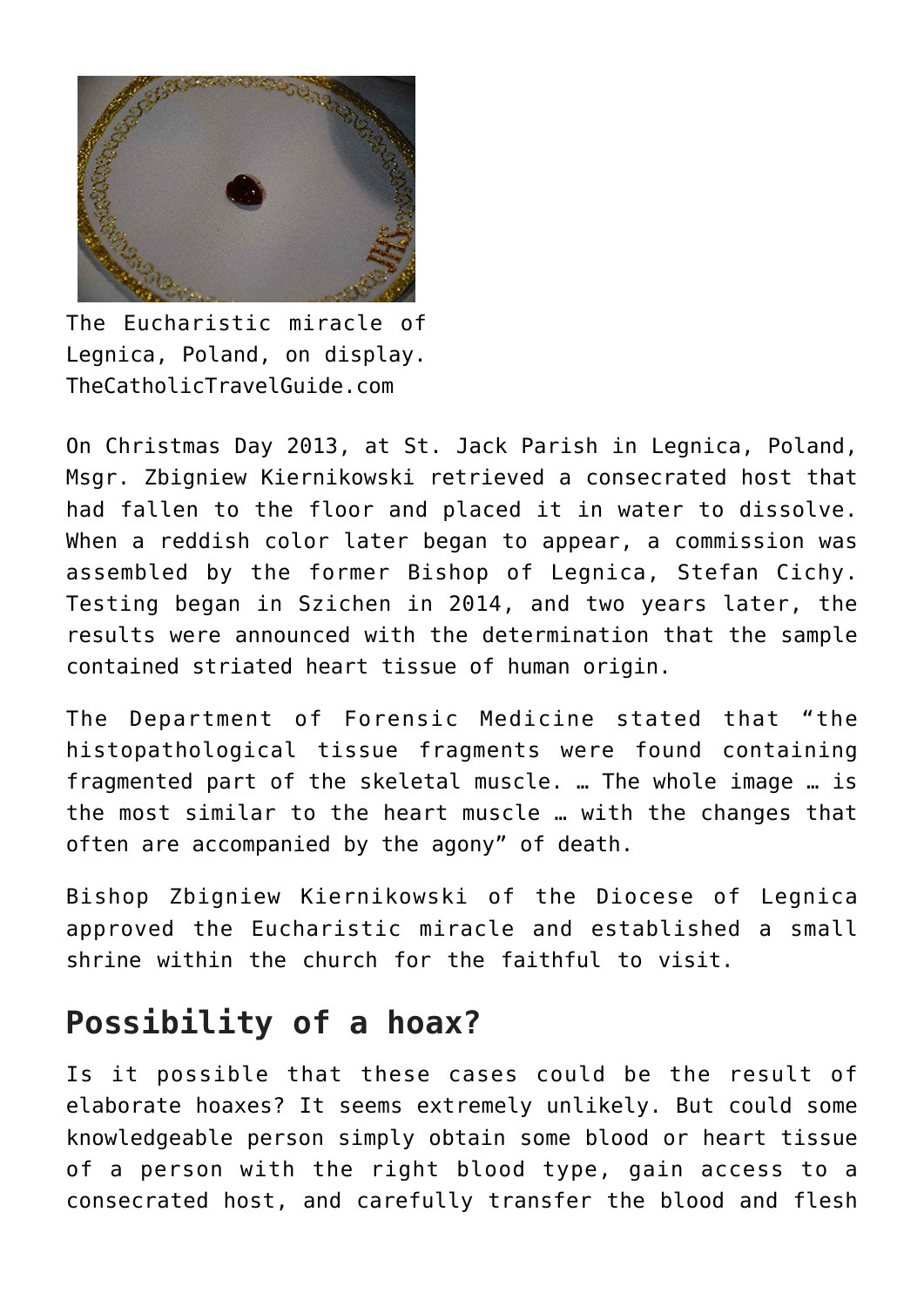

The Eucharistic miracle of Legnica, Poland, on display. TheCatholicTravelGuide.com

On Christmas Day 2013, at St. Jack Parish in Legnica, Poland, Msgr. Zbigniew Kiernikowski retrieved a consecrated host that had fallen to the floor and placed it in water to dissolve. When a reddish color later began to appear, a commission was assembled by the former Bishop of Legnica, Stefan Cichy. Testing began in Szichen in 2014, and two years later, the results were announced with the determination that the sample contained striated heart tissue of human origin.

The Department of Forensic Medicine stated that "the histopathological tissue fragments were found containing fragmented part of the skeletal muscle. … The whole image … is the most similar to the heart muscle … with the changes that often are accompanied by the agony" of death.

Bishop Zbigniew Kiernikowski of the Diocese of Legnica approved the Eucharistic miracle and established a small shrine within the church for the faithful to visit.

#### **Possibility of a hoax?**

Is it possible that these cases could be the result of elaborate hoaxes? It seems extremely unlikely. But could some knowledgeable person simply obtain some blood or heart tissue of a person with the right blood type, gain access to a consecrated host, and carefully transfer the blood and flesh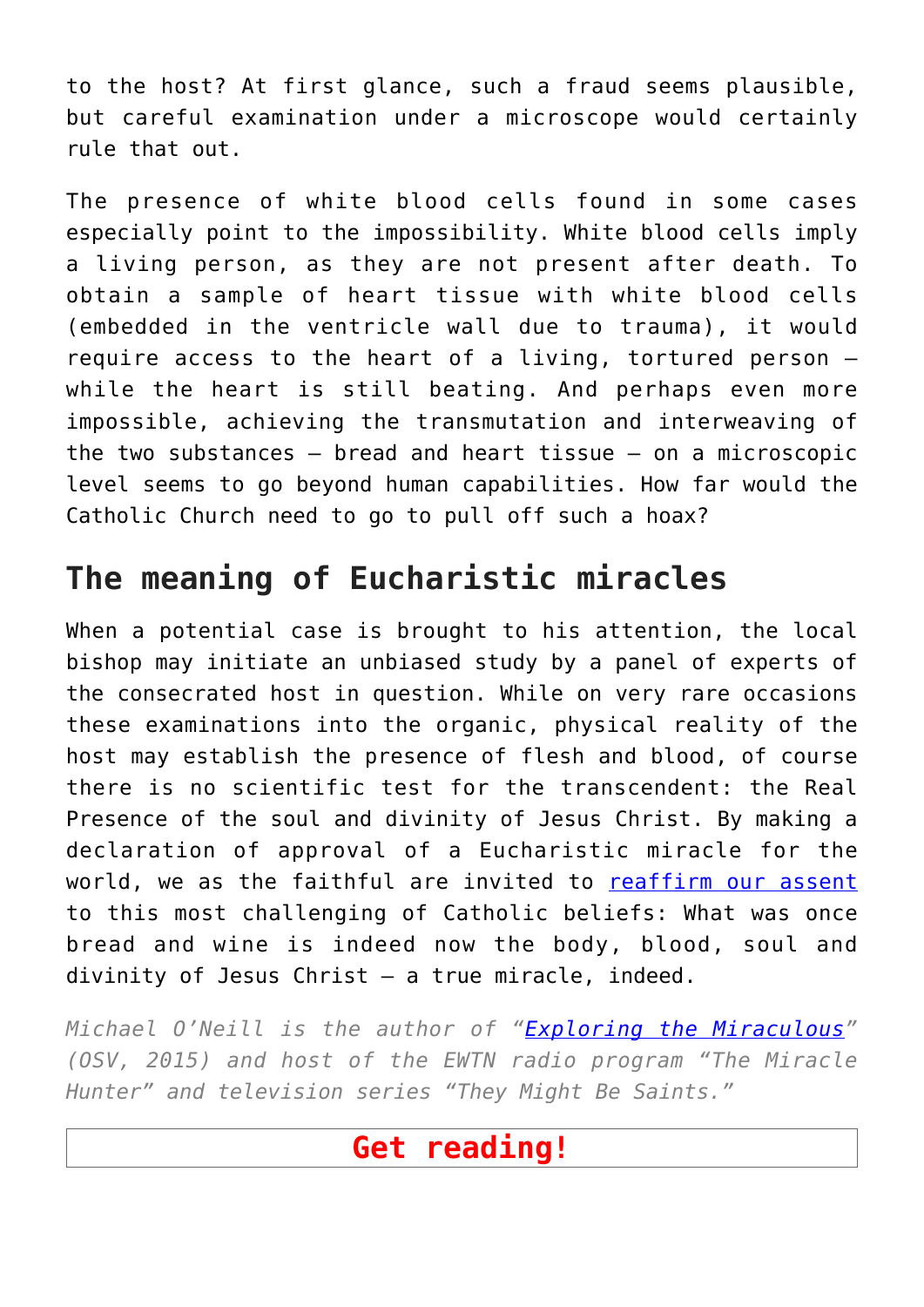to the host? At first glance, such a fraud seems plausible, but careful examination under a microscope would certainly rule that out.

The presence of white blood cells found in some cases especially point to the impossibility. White blood cells imply a living person, as they are not present after death. To obtain a sample of heart tissue with white blood cells (embedded in the ventricle wall due to trauma), it would require access to the heart of a living, tortured person while the heart is still beating. And perhaps even more impossible, achieving the transmutation and interweaving of the two substances — bread and heart tissue — on a microscopic level seems to go beyond human capabilities. How far would the Catholic Church need to go to pull off such a hoax?

## **The meaning of Eucharistic miracles**

When a potential case is brought to his attention, the local bishop may initiate an unbiased study by a panel of experts of the consecrated host in question. While on very rare occasions these examinations into the organic, physical reality of the host may establish the presence of flesh and blood, of course there is no scientific test for the transcendent: the Real Presence of the soul and divinity of Jesus Christ. By making a declaration of approval of a Eucharistic miracle for the world, we as the faithful are invited to [reaffirm our assent](https://osvnews.com/2021/08/12/a-nationwide-eucharistic-revival-is-coming-here-are-4-things-we-can-all-do-to-prepare/) to this most challenging of Catholic beliefs: What was once bread and wine is indeed now the body, blood, soul and divinity of Jesus Christ — a true miracle, indeed.

*Michael O'Neill is the author of "[Exploring the Miraculous"](https://osvcatholicbookstore.com/product/exploring-the-miraculous) (OSV, 2015) and host of the EWTN radio program "The Miracle Hunter" and television series "They Might Be Saints."*

#### **Get reading!**